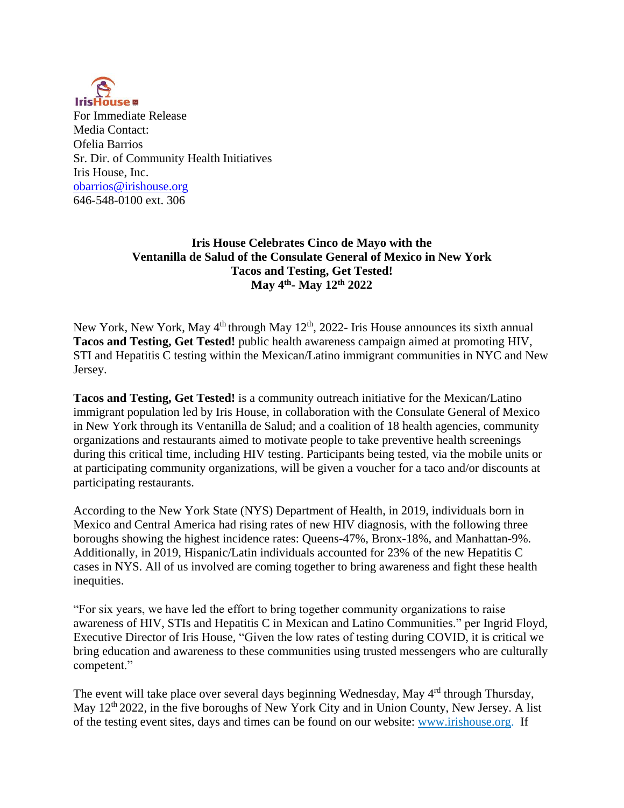

For Immediate Release Media Contact: Ofelia Barrios Sr. Dir. of Community Health Initiatives Iris House, Inc. [obarrios@irishouse.org](mailto:obarrios@irishouse.org) 646-548-0100 ext. 306

## **Iris House Celebrates Cinco de Mayo with the Ventanilla de Salud of the Consulate General of Mexico in New York Tacos and Testing, Get Tested! May 4 th - May 12th 2022**

New York, New York, May 4<sup>th</sup> through May 12<sup>th</sup>, 2022- Iris House announces its sixth annual **Tacos and Testing, Get Tested!** public health awareness campaign aimed at promoting HIV, STI and Hepatitis C testing within the Mexican/Latino immigrant communities in NYC and New Jersey.

**Tacos and Testing, Get Tested!** is a community outreach initiative for the Mexican/Latino immigrant population led by Iris House, in collaboration with the Consulate General of Mexico in New York through its Ventanilla de Salud; and a coalition of 18 health agencies, community organizations and restaurants aimed to motivate people to take preventive health screenings during this critical time, including HIV testing. Participants being tested, via the mobile units or at participating community organizations, will be given a voucher for a taco and/or discounts at participating restaurants.

According to the New York State (NYS) Department of Health, in 2019, individuals born in Mexico and Central America had rising rates of new HIV diagnosis, with the following three boroughs showing the highest incidence rates: Queens-47%, Bronx-18%, and Manhattan-9%. Additionally, in 2019, Hispanic/Latin individuals accounted for 23% of the new Hepatitis C cases in NYS. All of us involved are coming together to bring awareness and fight these health inequities.

"For six years, we have led the effort to bring together community organizations to raise awareness of HIV, STIs and Hepatitis C in Mexican and Latino Communities." per Ingrid Floyd, Executive Director of Iris House, "Given the low rates of testing during COVID, it is critical we bring education and awareness to these communities using trusted messengers who are culturally competent."

The event will take place over several days beginning Wednesday, May 4<sup>rd</sup> through Thursday, May  $12<sup>th</sup> 2022$ , in the five boroughs of New York City and in Union County, New Jersey. A list of the testing event sites, days and times can be found on our website: [www.irishouse.org.](https://nam11.safelinks.protection.outlook.com/?url=http%3A%2F%2Fwww.irishouse.org%2F&data=04%7C01%7Cobarrios%40irishouse.org%7C395a0d10ae7a423abbe808d90b53ad3b%7Ce5061d72053a4a2684f63b26a0f5adf4%7C0%7C0%7C637553276272533282%7CUnknown%7CTWFpbGZsb3d8eyJWIjoiMC4wLjAwMDAiLCJQIjoiV2luMzIiLCJBTiI6Ik1haWwiLCJXVCI6Mn0%3D%7C1000&sdata=TlSntDeGu6aFL1epBgsVzgFbU%2BlIpyCkm8NlmZMCeJs%3D&reserved=0) If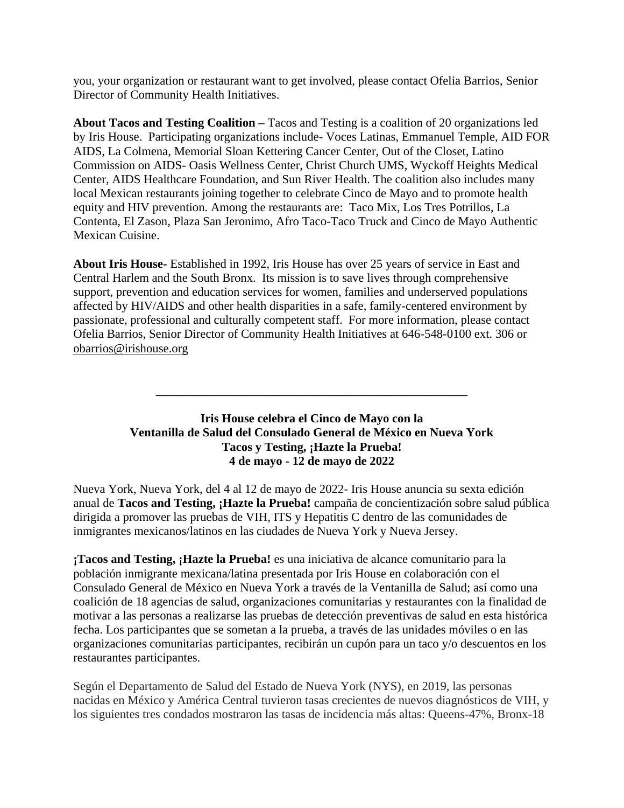you, your organization or restaurant want to get involved, please contact Ofelia Barrios, Senior Director of Community Health Initiatives.

**About Tacos and Testing Coalition –** Tacos and Testing is a coalition of 20 organizations led by Iris House.Participating organizations include- Voces Latinas, Emmanuel Temple, AID FOR AIDS, La Colmena, Memorial Sloan Kettering Cancer Center, Out of the Closet, Latino Commission on AIDS- Oasis Wellness Center, Christ Church UMS, Wyckoff Heights Medical Center, AIDS Healthcare Foundation, and Sun River Health. The coalition also includes many local Mexican restaurants joining together to celebrate Cinco de Mayo and to promote health equity and HIV prevention. Among the restaurants are: Taco Mix, Los Tres Potrillos, La Contenta, El Zason, Plaza San Jeronimo, Afro Taco-Taco Truck and Cinco de Mayo Authentic Mexican Cuisine.

**About Iris House-** Established in 1992, Iris House has over 25 years of service in East and Central Harlem and the South Bronx. Its mission is to save lives through comprehensive support, prevention and education services for women, families and underserved populations affected by HIV/AIDS and other health disparities in a safe, family-centered environment by passionate, professional and culturally competent staff. For more information, please contact Ofelia Barrios, Senior Director of Community Health Initiatives at 646-548-0100 ext. 306 or [obarrios@irishouse.org](about:blank)

## **Iris House celebra el Cinco de Mayo con la Ventanilla de Salud del Consulado General de México en Nueva York Tacos y Testing, ¡Hazte la Prueba! 4 de mayo - 12 de mayo de 2022**

**\_\_\_\_\_\_\_\_\_\_\_\_\_\_\_\_\_\_\_\_\_\_\_\_\_\_\_\_\_\_\_\_\_\_\_\_\_\_\_\_\_\_\_\_\_\_\_\_\_\_\_**

Nueva York, Nueva York, del 4 al 12 de mayo de 2022- Iris House anuncia su sexta edición anual de **Tacos and Testing, ¡Hazte la Prueba!** campaña de concientización sobre salud pública dirigida a promover las pruebas de VIH, ITS y Hepatitis C dentro de las comunidades de inmigrantes mexicanos/latinos en las ciudades de Nueva York y Nueva Jersey.

**¡Tacos and Testing, ¡Hazte la Prueba!** es una iniciativa de alcance comunitario para la población inmigrante mexicana/latina presentada por Iris House en colaboración con el Consulado General de México en Nueva York a través de la Ventanilla de Salud; así como una coalición de 18 agencias de salud, organizaciones comunitarias y restaurantes con la finalidad de motivar a las personas a realizarse las pruebas de detección preventivas de salud en esta histórica fecha. Los participantes que se sometan a la prueba, a través de las unidades móviles o en las organizaciones comunitarias participantes, recibirán un cupón para un taco y/o descuentos en los restaurantes participantes.

Según el Departamento de Salud del Estado de Nueva York (NYS), en 2019, las personas nacidas en México y América Central tuvieron tasas crecientes de nuevos diagnósticos de VIH, y los siguientes tres condados mostraron las tasas de incidencia más altas: Queens-47%, Bronx-18